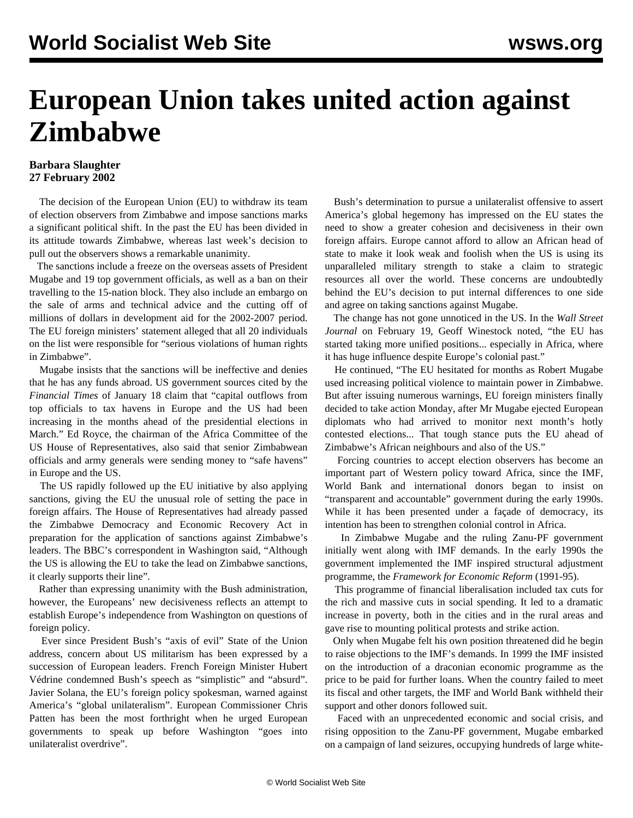## **European Union takes united action against Zimbabwe**

## **Barbara Slaughter 27 February 2002**

 The decision of the European Union (EU) to withdraw its team of election observers from Zimbabwe and impose sanctions marks a significant political shift. In the past the EU has been divided in its attitude towards Zimbabwe, whereas last week's decision to pull out the observers shows a remarkable unanimity.

 The sanctions include a freeze on the overseas assets of President Mugabe and 19 top government officials, as well as a ban on their travelling to the 15-nation block. They also include an embargo on the sale of arms and technical advice and the cutting off of millions of dollars in development aid for the 2002-2007 period. The EU foreign ministers' statement alleged that all 20 individuals on the list were responsible for "serious violations of human rights in Zimbabwe".

 Mugabe insists that the sanctions will be ineffective and denies that he has any funds abroad. US government sources cited by the *Financial Times* of January 18 claim that "capital outflows from top officials to tax havens in Europe and the US had been increasing in the months ahead of the presidential elections in March." Ed Royce, the chairman of the Africa Committee of the US House of Representatives, also said that senior Zimbabwean officials and army generals were sending money to "safe havens" in Europe and the US.

 The US rapidly followed up the EU initiative by also applying sanctions, giving the EU the unusual role of setting the pace in foreign affairs. The House of Representatives had already passed the Zimbabwe Democracy and Economic Recovery Act in preparation for the application of sanctions against Zimbabwe's leaders. The BBC's correspondent in Washington said, "Although the US is allowing the EU to take the lead on Zimbabwe sanctions, it clearly supports their line".

 Rather than expressing unanimity with the Bush administration, however, the Europeans' new decisiveness reflects an attempt to establish Europe's independence from Washington on questions of foreign policy.

 Ever since President Bush's "axis of evil" State of the Union address, concern about US militarism has been expressed by a succession of European leaders. French Foreign Minister Hubert Védrine condemned Bush's speech as "simplistic" and "absurd". Javier Solana, the EU's foreign policy spokesman, warned against America's "global unilateralism". European Commissioner Chris Patten has been the most forthright when he urged European governments to speak up before Washington "goes into unilateralist overdrive".

 Bush's determination to pursue a unilateralist offensive to assert America's global hegemony has impressed on the EU states the need to show a greater cohesion and decisiveness in their own foreign affairs. Europe cannot afford to allow an African head of state to make it look weak and foolish when the US is using its unparalleled military strength to stake a claim to strategic resources all over the world. These concerns are undoubtedly behind the EU's decision to put internal differences to one side and agree on taking sanctions against Mugabe.

 The change has not gone unnoticed in the US. In the *Wall Street Journal* on February 19, Geoff Winestock noted, "the EU has started taking more unified positions... especially in Africa, where it has huge influence despite Europe's colonial past."

 He continued, "The EU hesitated for months as Robert Mugabe used increasing political violence to maintain power in Zimbabwe. But after issuing numerous warnings, EU foreign ministers finally decided to take action Monday, after Mr Mugabe ejected European diplomats who had arrived to monitor next month's hotly contested elections... That tough stance puts the EU ahead of Zimbabwe's African neighbours and also of the US."

 Forcing countries to accept election observers has become an important part of Western policy toward Africa, since the IMF, World Bank and international donors began to insist on "transparent and accountable" government during the early 1990s. While it has been presented under a façade of democracy, its intention has been to strengthen colonial control in Africa.

 In Zimbabwe Mugabe and the ruling Zanu-PF government initially went along with IMF demands. In the early 1990s the government implemented the IMF inspired structural adjustment programme, the *Framework for Economic Reform* (1991-95).

 This programme of financial liberalisation included tax cuts for the rich and massive cuts in social spending. It led to a dramatic increase in poverty, both in the cities and in the rural areas and gave rise to mounting political protests and strike action.

 Only when Mugabe felt his own position threatened did he begin to raise objections to the IMF's demands. In 1999 the IMF insisted on the introduction of a draconian economic programme as the price to be paid for further loans. When the country failed to meet its fiscal and other targets, the IMF and World Bank withheld their support and other donors followed suit.

 Faced with an unprecedented economic and social crisis, and rising opposition to the Zanu-PF government, Mugabe embarked on a campaign of land seizures, occupying hundreds of large white